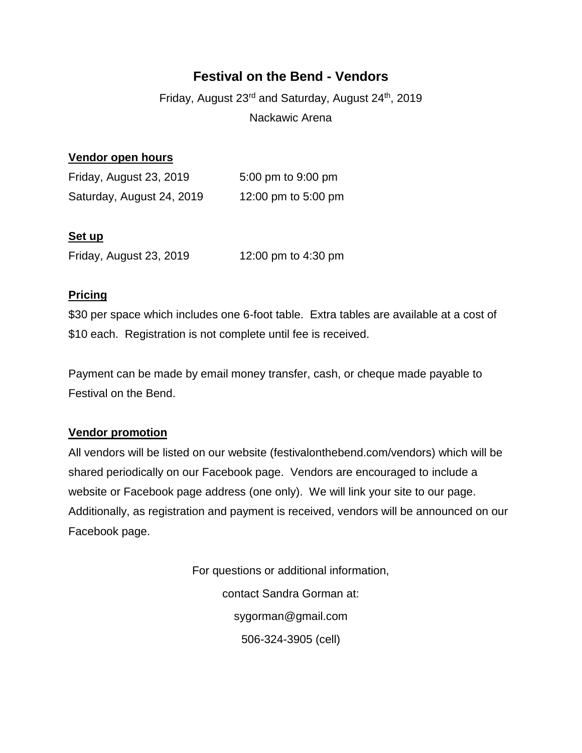# **Festival on the Bend - Vendors**

Friday, August 23<sup>rd</sup> and Saturday, August 24<sup>th</sup>, 2019 Nackawic Arena

## **Vendor open hours**

| Friday, August 23, 2019   | 5:00 pm to 9:00 pm  |
|---------------------------|---------------------|
| Saturday, August 24, 2019 | 12:00 pm to 5:00 pm |

#### **Set up**

Friday, August 23, 2019 12:00 pm to 4:30 pm

#### **Pricing**

\$30 per space which includes one 6-foot table. Extra tables are available at a cost of \$10 each. Registration is not complete until fee is received.

Payment can be made by email money transfer, cash, or cheque made payable to Festival on the Bend.

## **Vendor promotion**

All vendors will be listed on our website (festivalonthebend.com/vendors) which will be shared periodically on our Facebook page. Vendors are encouraged to include a website or Facebook page address (one only). We will link your site to our page. Additionally, as registration and payment is received, vendors will be announced on our Facebook page.

> For questions or additional information, contact Sandra Gorman at: sygorman@gmail.com 506-324-3905 (cell)